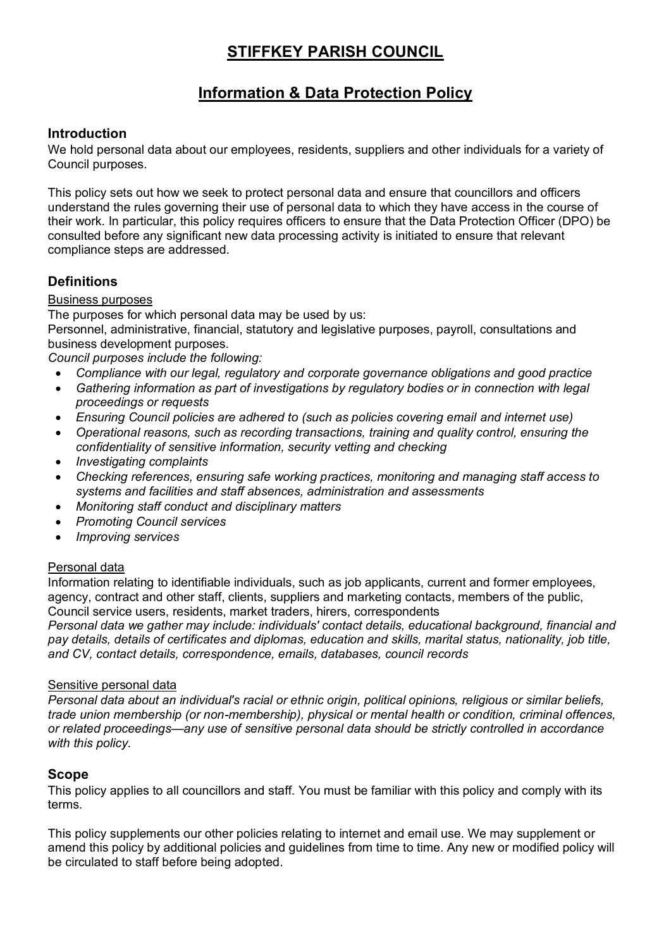# **STIFFKEY PARISH COUNCIL**

# **Information & Data Protection Policy**

# **Introduction**

We hold personal data about our employees, residents, suppliers and other individuals for a variety of Council purposes.

This policy sets out how we seek to protect personal data and ensure that councillors and officers understand the rules governing their use of personal data to which they have access in the course of their work. In particular, this policy requires officers to ensure that the Data Protection Officer (DPO) be consulted before any significant new data processing activity is initiated to ensure that relevant compliance steps are addressed.

## **Definitions**

#### Business purposes

The purposes for which personal data may be used by us:

Personnel, administrative, financial, statutory and legislative purposes, payroll, consultations and business development purposes.

*Council purposes include the following:*

- *Compliance with our legal, regulatory and corporate governance obligations and good practice*
- *Gathering information as part of investigations by regulatory bodies or in connection with legal proceedings or requests*
- *Ensuring Council policies are adhered to (such as policies covering email and internet use)*
- *Operational reasons, such as recording transactions, training and quality control, ensuring the confidentiality of sensitive information, security vetting and checking*
- *Investigating complaints*
- *Checking references, ensuring safe working practices, monitoring and managing staff access to systems and facilities and staff absences, administration and assessments*
- *Monitoring staff conduct and disciplinary matters*
- *Promoting Council services*
- *Improving services*

#### Personal data

Information relating to identifiable individuals, such as job applicants, current and former employees, agency, contract and other staff, clients, suppliers and marketing contacts, members of the public, Council service users, residents, market traders, hirers, correspondents

*Personal data we gather may include: individuals' contact details, educational background, financial and pay details, details of certificates and diplomas, education and skills, marital status, nationality, job title, and CV, contact details, correspondence, emails, databases, council records*

#### Sensitive personal data

*Personal data about an individual's racial or ethnic origin, political opinions, religious or similar beliefs, trade union membership (or non-membership), physical or mental health or condition, criminal offences, or related proceedings—any use of sensitive personal data should be strictly controlled in accordance with this policy.*

## **Scope**

This policy applies to all councillors and staff. You must be familiar with this policy and comply with its terms.

This policy supplements our other policies relating to internet and email use. We may supplement or amend this policy by additional policies and guidelines from time to time. Any new or modified policy will be circulated to staff before being adopted.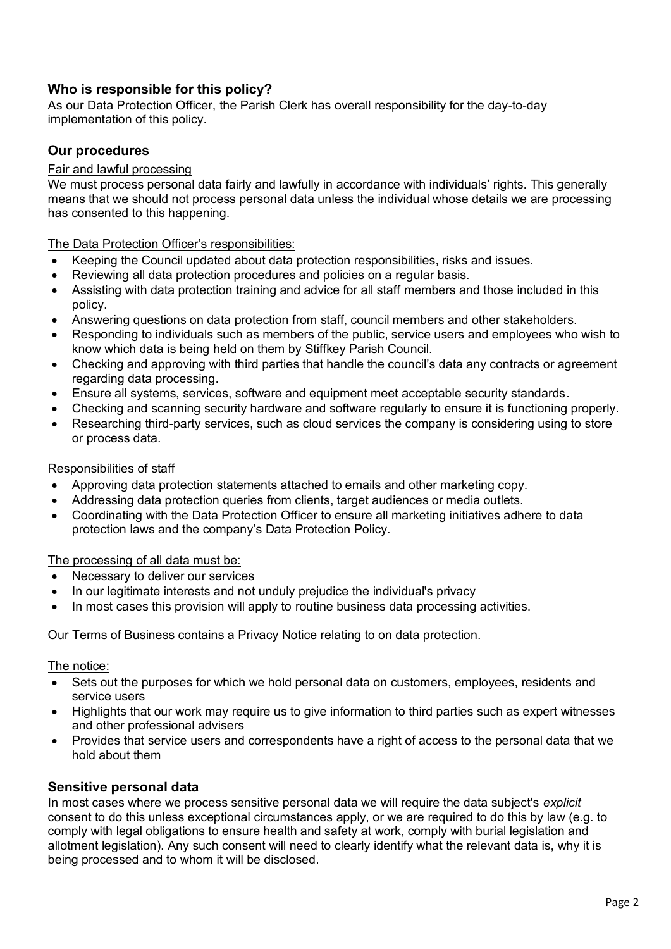# **Who is responsible for this policy?**

As our Data Protection Officer, the Parish Clerk has overall responsibility for the day-to-day implementation of this policy.

## **Our procedures**

#### Fair and lawful processing

We must process personal data fairly and lawfully in accordance with individuals' rights. This generally means that we should not process personal data unless the individual whose details we are processing has consented to this happening.

The Data Protection Officer's responsibilities:

- Keeping the Council updated about data protection responsibilities, risks and issues.
- Reviewing all data protection procedures and policies on a regular basis.
- Assisting with data protection training and advice for all staff members and those included in this policy.
- Answering questions on data protection from staff, council members and other stakeholders.
- Responding to individuals such as members of the public, service users and employees who wish to know which data is being held on them by Stiffkey Parish Council.
- Checking and approving with third parties that handle the council's data any contracts or agreement regarding data processing.
- Ensure all systems, services, software and equipment meet acceptable security standards.
- Checking and scanning security hardware and software regularly to ensure it is functioning properly.
- Researching third-party services, such as cloud services the company is considering using to store or process data.

#### Responsibilities of staff

- Approving data protection statements attached to emails and other marketing copy.
- Addressing data protection queries from clients, target audiences or media outlets.
- Coordinating with the Data Protection Officer to ensure all marketing initiatives adhere to data protection laws and the company's Data Protection Policy.

#### The processing of all data must be:

- Necessary to deliver our services
- In our legitimate interests and not unduly prejudice the individual's privacy
- In most cases this provision will apply to routine business data processing activities.

Our Terms of Business contains a Privacy Notice relating to on data protection.

The notice:

- Sets out the purposes for which we hold personal data on customers, employees, residents and service users
- Highlights that our work may require us to give information to third parties such as expert witnesses and other professional advisers
- Provides that service users and correspondents have a right of access to the personal data that we hold about them

#### **Sensitive personal data**

In most cases where we process sensitive personal data we will require the data subject's *explicit* consent to do this unless exceptional circumstances apply, or we are required to do this by law (e.g. to comply with legal obligations to ensure health and safety at work, comply with burial legislation and allotment legislation). Any such consent will need to clearly identify what the relevant data is, why it is being processed and to whom it will be disclosed.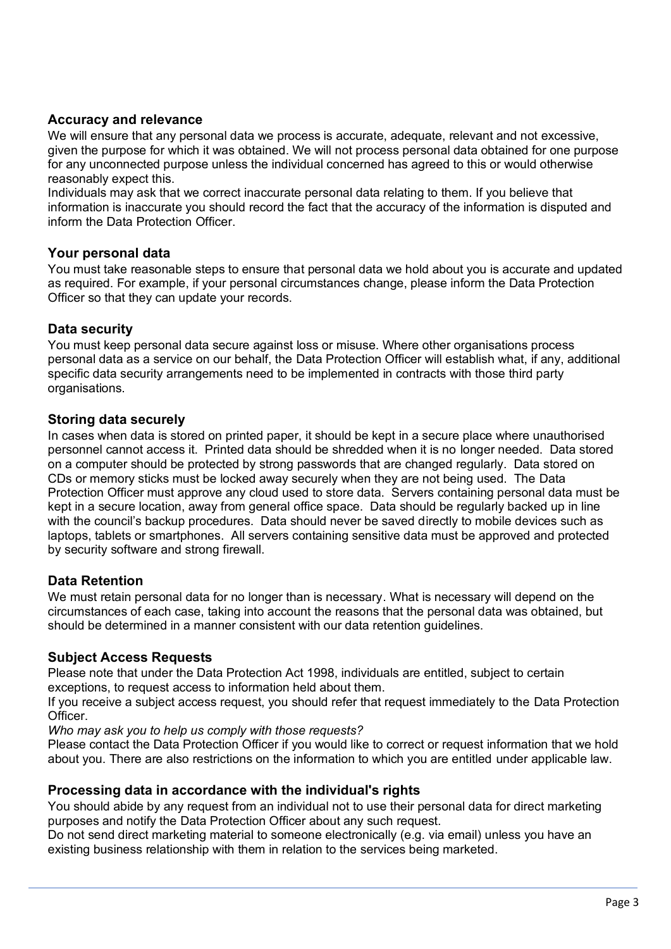# **Accuracy and relevance**

We will ensure that any personal data we process is accurate, adequate, relevant and not excessive, given the purpose for which it was obtained. We will not process personal data obtained for one purpose for any unconnected purpose unless the individual concerned has agreed to this or would otherwise reasonably expect this.

Individuals may ask that we correct inaccurate personal data relating to them. If you believe that information is inaccurate you should record the fact that the accuracy of the information is disputed and inform the Data Protection Officer.

## **Your personal data**

You must take reasonable steps to ensure that personal data we hold about you is accurate and updated as required. For example, if your personal circumstances change, please inform the Data Protection Officer so that they can update your records.

#### **Data security**

You must keep personal data secure against loss or misuse. Where other organisations process personal data as a service on our behalf, the Data Protection Officer will establish what, if any, additional specific data security arrangements need to be implemented in contracts with those third party organisations.

#### **Storing data securely**

In cases when data is stored on printed paper, it should be kept in a secure place where unauthorised personnel cannot access it. Printed data should be shredded when it is no longer needed. Data stored on a computer should be protected by strong passwords that are changed regularly. Data stored on CDs or memory sticks must be locked away securely when they are not being used. The Data Protection Officer must approve any cloud used to store data. Servers containing personal data must be kept in a secure location, away from general office space. Data should be regularly backed up in line with the council's backup procedures. Data should never be saved directly to mobile devices such as laptops, tablets or smartphones. All servers containing sensitive data must be approved and protected by security software and strong firewall.

## **Data Retention**

We must retain personal data for no longer than is necessary. What is necessary will depend on the circumstances of each case, taking into account the reasons that the personal data was obtained, but should be determined in a manner consistent with our data retention guidelines.

## **Subject Access Requests**

Please note that under the Data Protection Act 1998, individuals are entitled, subject to certain exceptions, to request access to information held about them.

If you receive a subject access request, you should refer that request immediately to the Data Protection Officer.

*Who may ask you to help us comply with those requests?*

Please contact the Data Protection Officer if you would like to correct or request information that we hold about you. There are also restrictions on the information to which you are entitled under applicable law.

#### **Processing data in accordance with the individual's rights**

You should abide by any request from an individual not to use their personal data for direct marketing purposes and notify the Data Protection Officer about any such request.

Do not send direct marketing material to someone electronically (e.g. via email) unless you have an existing business relationship with them in relation to the services being marketed.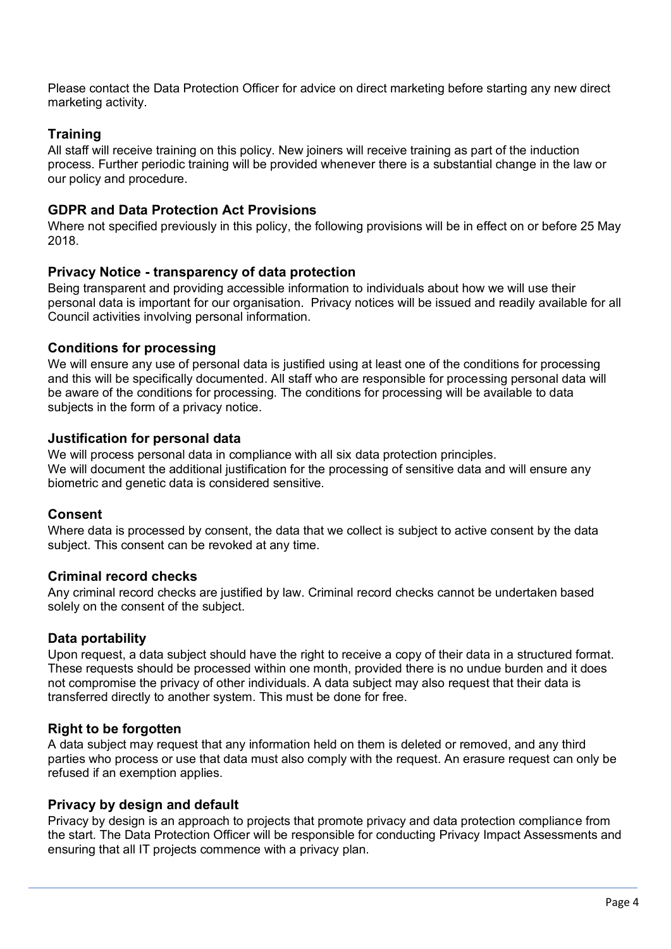Please contact the Data Protection Officer for advice on direct marketing before starting any new direct marketing activity.

## **Training**

All staff will receive training on this policy. New joiners will receive training as part of the induction process. Further periodic training will be provided whenever there is a substantial change in the law or our policy and procedure.

## **GDPR and Data Protection Act Provisions**

Where not specified previously in this policy, the following provisions will be in effect on or before 25 May 2018.

#### **Privacy Notice - transparency of data protection**

Being transparent and providing accessible information to individuals about how we will use their personal data is important for our organisation. Privacy notices will be issued and readily available for all Council activities involving personal information.

## **Conditions for processing**

We will ensure any use of personal data is justified using at least one of the conditions for processing and this will be specifically documented. All staff who are responsible for processing personal data will be aware of the conditions for processing. The conditions for processing will be available to data subjects in the form of a privacy notice.

#### **Justification for personal data**

We will process personal data in compliance with all six data protection principles. We will document the additional justification for the processing of sensitive data and will ensure any biometric and genetic data is considered sensitive.

## **Consent**

Where data is processed by consent, the data that we collect is subject to active consent by the data subject. This consent can be revoked at any time.

## **Criminal record checks**

Any criminal record checks are justified by law. Criminal record checks cannot be undertaken based solely on the consent of the subject.

## **Data portability**

Upon request, a data subject should have the right to receive a copy of their data in a structured format. These requests should be processed within one month, provided there is no undue burden and it does not compromise the privacy of other individuals. A data subject may also request that their data is transferred directly to another system. This must be done for free.

## **Right to be forgotten**

A data subject may request that any information held on them is deleted or removed, and any third parties who process or use that data must also comply with the request. An erasure request can only be refused if an exemption applies.

#### **Privacy by design and default**

Privacy by design is an approach to projects that promote privacy and data protection compliance from the start. The Data Protection Officer will be responsible for conducting Privacy Impact Assessments and ensuring that all IT projects commence with a privacy plan.